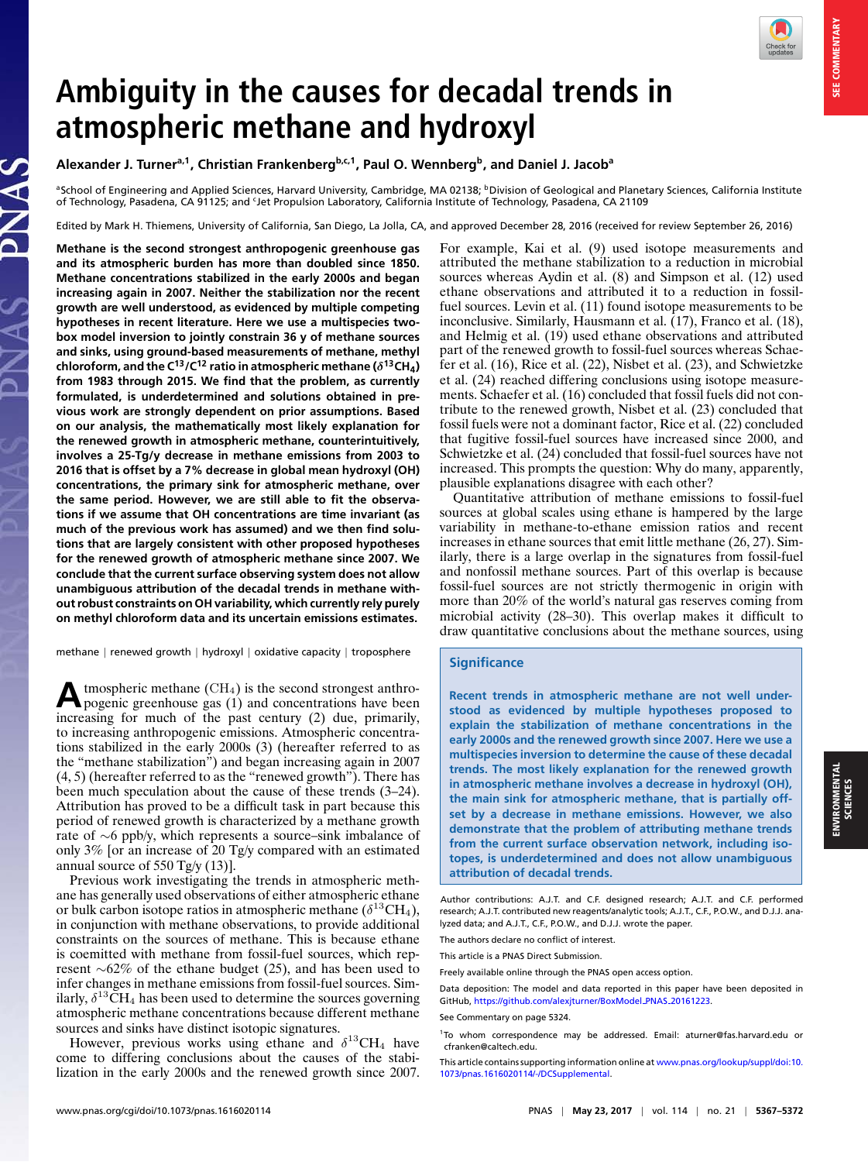# **Ambiguity in the causes for decadal trends in atmospheric methane and hydroxyl**

## **Alexander J. Turnera,1, Christian Frankenbergb,c,1, Paul O. Wennberg<sup>b</sup> , and Daniel J. Jacob<sup>a</sup>**

aSchool of Engineering and Applied Sciences, Harvard University, Cambridge, MA 02138; **bDivision of Geological and Planetary Sciences**, California Institute of Technology, Pasadena, CA 91125; and <sup>c</sup>Jet Propulsion Laboratory, California Institute of Technology, Pasadena, CA 21109

Edited by Mark H. Thiemens, University of California, San Diego, La Jolla, CA, and approved December 28, 2016 (received for review September 26, 2016)

**Methane is the second strongest anthropogenic greenhouse gas and its atmospheric burden has more than doubled since 1850. Methane concentrations stabilized in the early 2000s and began increasing again in 2007. Neither the stabilization nor the recent growth are well understood, as evidenced by multiple competing hypotheses in recent literature. Here we use a multispecies twobox model inversion to jointly constrain 36 y of methane sources and sinks, using ground-based measurements of methane, methyl**  ${\bf c}$ hloroform, and the C $^{13}$ /C $^{12}$  ratio in atmospheric methane ( $\delta^{13}$ CH<sub>4</sub>) **from 1983 through 2015. We find that the problem, as currently formulated, is underdetermined and solutions obtained in previous work are strongly dependent on prior assumptions. Based on our analysis, the mathematically most likely explanation for the renewed growth in atmospheric methane, counterintuitively, involves a 25-Tg/y decrease in methane emissions from 2003 to 2016 that is offset by a 7% decrease in global mean hydroxyl (OH) concentrations, the primary sink for atmospheric methane, over the same period. However, we are still able to fit the observations if we assume that OH concentrations are time invariant (as much of the previous work has assumed) and we then find solutions that are largely consistent with other proposed hypotheses for the renewed growth of atmospheric methane since 2007. We conclude that the current surface observing system does not allow unambiguous attribution of the decadal trends in methane without robust constraints on OH variability, which currently rely purely on methyl chloroform data and its uncertain emissions estimates.**

methane | renewed growth | hydroxyl | oxidative capacity | troposphere

A tmospheric methane  $(CH_4)$  is the second strongest anthro-<br>pogenic greenhouse gas (1) and concentrations have been tmospheric methane  $\rm (CH_4)$  is the second strongest anthroincreasing for much of the past century (2) due, primarily, to increasing anthropogenic emissions. Atmospheric concentrations stabilized in the early 2000s (3) (hereafter referred to as the "methane stabilization") and began increasing again in 2007 (4, 5) (hereafter referred to as the "renewed growth"). There has been much speculation about the cause of these trends (3–24). Attribution has proved to be a difficult task in part because this period of renewed growth is characterized by a methane growth rate of ∼6 ppb/y, which represents a source–sink imbalance of only 3% [or an increase of 20 Tg/y compared with an estimated annual source of 550 Tg/y (13)].

Previous work investigating the trends in atmospheric methane has generally used observations of either atmospheric ethane or bulk carbon isotope ratios in atmospheric methane ( $\delta^{13}CH_4$ ), in conjunction with methane observations, to provide additional constraints on the sources of methane. This is because ethane is coemitted with methane from fossil-fuel sources, which represent ∼62% of the ethane budget (25), and has been used to infer changes in methane emissions from fossil-fuel sources. Similarly,  $\delta^{13}$ CH<sub>4</sub> has been used to determine the sources governing atmospheric methane concentrations because different methane sources and sinks have distinct isotopic signatures.

However, previous works using ethane and  $\delta^{13}CH_4$  have come to differing conclusions about the causes of the stabilization in the early 2000s and the renewed growth since 2007. For example, Kai et al. (9) used isotope measurements and attributed the methane stabilization to a reduction in microbial sources whereas Aydin et al. (8) and Simpson et al. (12) used ethane observations and attributed it to a reduction in fossilfuel sources. Levin et al. (11) found isotope measurements to be inconclusive. Similarly, Hausmann et al. (17), Franco et al. (18), and Helmig et al. (19) used ethane observations and attributed part of the renewed growth to fossil-fuel sources whereas Schaefer et al. (16), Rice et al. (22), Nisbet et al. (23), and Schwietzke et al. (24) reached differing conclusions using isotope measurements. Schaefer et al. (16) concluded that fossil fuels did not contribute to the renewed growth, Nisbet et al. (23) concluded that fossil fuels were not a dominant factor, Rice et al. (22) concluded that fugitive fossil-fuel sources have increased since 2000, and Schwietzke et al. (24) concluded that fossil-fuel sources have not increased. This prompts the question: Why do many, apparently, plausible explanations disagree with each other?

Quantitative attribution of methane emissions to fossil-fuel sources at global scales using ethane is hampered by the large variability in methane-to-ethane emission ratios and recent increases in ethane sources that emit little methane (26, 27). Similarly, there is a large overlap in the signatures from fossil-fuel and nonfossil methane sources. Part of this overlap is because fossil-fuel sources are not strictly thermogenic in origin with more than 20% of the world's natural gas reserves coming from microbial activity (28–30). This overlap makes it difficult to draw quantitative conclusions about the methane sources, using

### **Significance**

**Recent trends in atmospheric methane are not well understood as evidenced by multiple hypotheses proposed to explain the stabilization of methane concentrations in the early 2000s and the renewed growth since 2007. Here we use a multispecies inversion to determine the cause of these decadal trends. The most likely explanation for the renewed growth in atmospheric methane involves a decrease in hydroxyl (OH), the main sink for atmospheric methane, that is partially offset by a decrease in methane emissions. However, we also demonstrate that the problem of attributing methane trends from the current surface observation network, including isotopes, is underdetermined and does not allow unambiguous attribution of decadal trends.**

Author contributions: A.J.T. and C.F. designed research; A.J.T. and C.F. performed research; A.J.T. contributed new reagents/analytic tools; A.J.T., C.F., P.O.W., and D.J.J. analyzed data; and A.J.T., C.F., P.O.W., and D.J.J. wrote the paper.

The authors declare no conflict of interest.

This article is a PNAS Direct Submission.

Freely available online through the PNAS open access option.

Data deposition: The model and data reported in this paper have been deposited in GitHub, [https://github.com/alexjturner/BoxModel](https://github.com/alexjturner/BoxModel_PNAS_20161223) PNAS 20161223.

1 To whom correspondence may be addressed. Email: [aturner@fas.harvard.edu](mailto:aturner@fas.harvard.edu) or [cfranken@caltech.edu.](mailto:cfranken@caltech.edu)

This article contains supporting information online at [www.pnas.org/lookup/suppl/doi:10.](http://www.pnas.org/lookup/suppl/doi:10.1073/pnas.1616020114/-/DCSupplemental) [1073/pnas.1616020114/-/DCSupplemental.](http://www.pnas.org/lookup/suppl/doi:10.1073/pnas.1616020114/-/DCSupplemental)

ENVIRONMENTAL SCIENCES

See Commentary on page 5324.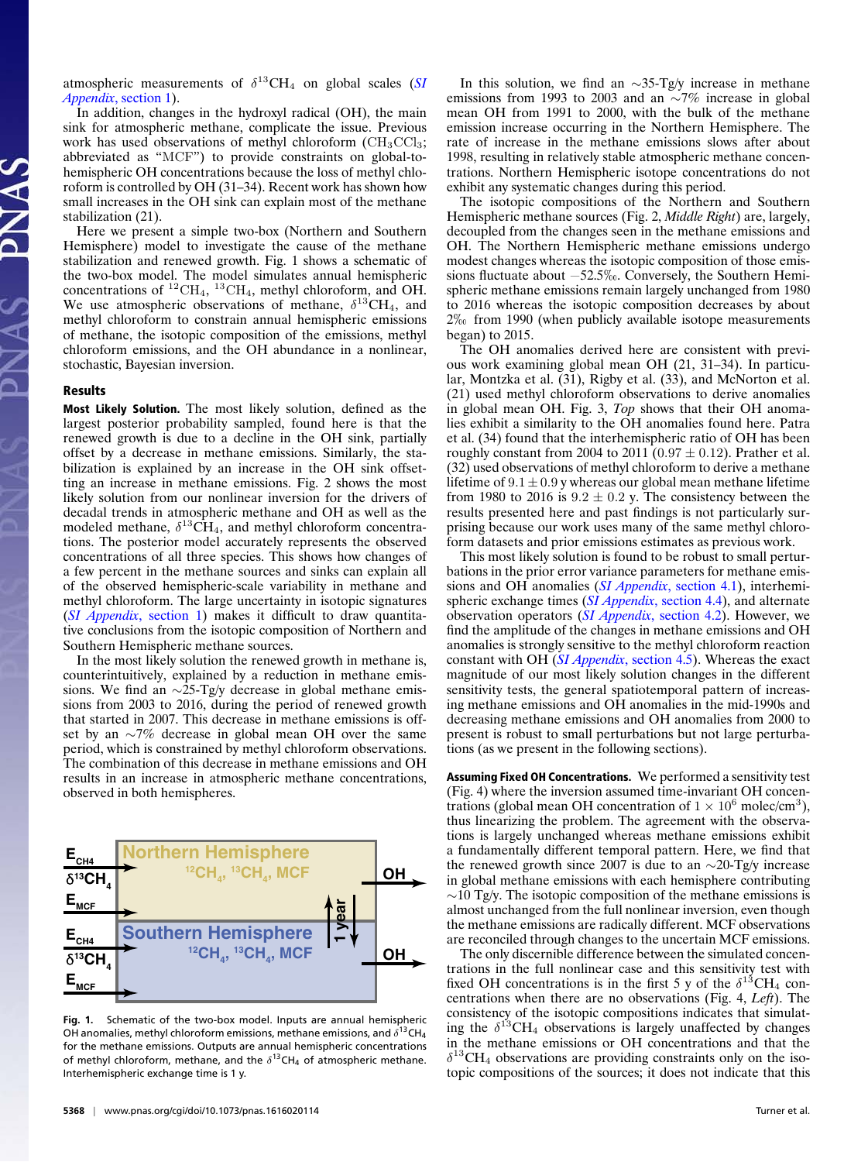atmospheric measurements of  $\delta^{13}CH_4$  on global scales (*[SI](http://www.pnas.org/lookup/suppl/doi:10.1073/pnas.1616020114/-/DCSupplemental/pnas.1616020114.sapp.pdf) Appendix*[, section 1\)](http://www.pnas.org/lookup/suppl/doi:10.1073/pnas.1616020114/-/DCSupplemental/pnas.1616020114.sapp.pdf).

In addition, changes in the hydroxyl radical (OH), the main sink for atmospheric methane, complicate the issue. Previous work has used observations of methyl chloroform  $(\text{CH}_3\text{CCl}_3;$ abbreviated as "MCF") to provide constraints on global-tohemispheric OH concentrations because the loss of methyl chloroform is controlled by OH (31–34). Recent work has shown how small increases in the OH sink can explain most of the methane stabilization (21).

Here we present a simple two-box (Northern and Southern Hemisphere) model to investigate the cause of the methane stabilization and renewed growth. Fig. 1 shows a schematic of the two-box model. The model simulates annual hemispheric concentrations of  ${}^{12}$ CH<sub>4</sub>,  ${}^{13}$ CH<sub>4</sub>, methyl chloroform, and OH. We use atmospheric observations of methane,  $\delta^{13}CH_4$ , and methyl chloroform to constrain annual hemispheric emissions of methane, the isotopic composition of the emissions, methyl chloroform emissions, and the OH abundance in a nonlinear, stochastic, Bayesian inversion.

#### Results

Most Likely Solution. The most likely solution, defined as the largest posterior probability sampled, found here is that the renewed growth is due to a decline in the OH sink, partially offset by a decrease in methane emissions. Similarly, the stabilization is explained by an increase in the OH sink offsetting an increase in methane emissions. Fig. 2 shows the most likely solution from our nonlinear inversion for the drivers of decadal trends in atmospheric methane and OH as well as the modeled methane,  $\delta^{13}CH_4$ , and methyl chloroform concentrations. The posterior model accurately represents the observed concentrations of all three species. This shows how changes of a few percent in the methane sources and sinks can explain all of the observed hemispheric-scale variability in methane and methyl chloroform. The large uncertainty in isotopic signatures (*[SI Appendix](http://www.pnas.org/lookup/suppl/doi:10.1073/pnas.1616020114/-/DCSupplemental/pnas.1616020114.sapp.pdf)*, section 1) makes it difficult to draw quantitative conclusions from the isotopic composition of Northern and Southern Hemispheric methane sources.

In the most likely solution the renewed growth in methane is, counterintuitively, explained by a reduction in methane emissions. We find an ∼25-Tg/y decrease in global methane emissions from 2003 to 2016, during the period of renewed growth that started in 2007. This decrease in methane emissions is offset by an ∼7% decrease in global mean OH over the same period, which is constrained by methyl chloroform observations. The combination of this decrease in methane emissions and OH results in an increase in atmospheric methane concentrations, observed in both hemispheres.



**Fig. 1.** Schematic of the two-box model. Inputs are annual hemispheric OH anomalies, methyl chloroform emissions, methane emissions, and  $\delta^{13}$ CH<sub>4</sub> for the methane emissions. Outputs are annual hemispheric concentrations of methyl chloroform, methane, and the  $\delta^{13}$ CH<sub>4</sub> of atmospheric methane. Interhemispheric exchange time is 1 y.

In this solution, we find an ∼35-Tg/y increase in methane emissions from 1993 to 2003 and an ∼7% increase in global mean OH from 1991 to 2000, with the bulk of the methane emission increase occurring in the Northern Hemisphere. The rate of increase in the methane emissions slows after about 1998, resulting in relatively stable atmospheric methane concentrations. Northern Hemispheric isotope concentrations do not exhibit any systematic changes during this period.

The isotopic compositions of the Northern and Southern Hemispheric methane sources (Fig. 2, *Middle Right*) are, largely, decoupled from the changes seen in the methane emissions and OH. The Northern Hemispheric methane emissions undergo modest changes whereas the isotopic composition of those emissions fluctuate about −52.5‰. Conversely, the Southern Hemispheric methane emissions remain largely unchanged from 1980 to 2016 whereas the isotopic composition decreases by about  $2\%$  from 1990 (when publicly available isotope measurements began) to 2015.

The OH anomalies derived here are consistent with previous work examining global mean OH (21, 31–34). In particular, Montzka et al. (31), Rigby et al. (33), and McNorton et al. (21) used methyl chloroform observations to derive anomalies in global mean OH. Fig. 3, *Top* shows that their OH anomalies exhibit a similarity to the OH anomalies found here. Patra et al. (34) found that the interhemispheric ratio of OH has been roughly constant from 2004 to 2011 (0.97  $\pm$  0.12). Prather et al. (32) used observations of methyl chloroform to derive a methane lifetime of  $9.1 \pm 0.9$  y whereas our global mean methane lifetime from 1980 to 2016 is  $9.2 \pm 0.2$  y. The consistency between the results presented here and past findings is not particularly surprising because our work uses many of the same methyl chloroform datasets and prior emissions estimates as previous work.

This most likely solution is found to be robust to small perturbations in the prior error variance parameters for methane emissions and OH anomalies (*SI Appendix*[, section 4.1\)](http://www.pnas.org/lookup/suppl/doi:10.1073/pnas.1616020114/-/DCSupplemental/pnas.1616020114.sapp.pdf), interhemispheric exchange times (*SI Appendix*[, section 4.4\)](http://www.pnas.org/lookup/suppl/doi:10.1073/pnas.1616020114/-/DCSupplemental/pnas.1616020114.sapp.pdf), and alternate observation operators (*SI Appendix*[, section 4.2\)](http://www.pnas.org/lookup/suppl/doi:10.1073/pnas.1616020114/-/DCSupplemental/pnas.1616020114.sapp.pdf). However, we find the amplitude of the changes in methane emissions and OH anomalies is strongly sensitive to the methyl chloroform reaction constant with OH (*SI Appendix*[, section 4.5\)](http://www.pnas.org/lookup/suppl/doi:10.1073/pnas.1616020114/-/DCSupplemental/pnas.1616020114.sapp.pdf). Whereas the exact magnitude of our most likely solution changes in the different sensitivity tests, the general spatiotemporal pattern of increasing methane emissions and OH anomalies in the mid-1990s and decreasing methane emissions and OH anomalies from 2000 to present is robust to small perturbations but not large perturbations (as we present in the following sections).

Assuming Fixed OH Concentrations. We performed a sensitivity test (Fig. 4) where the inversion assumed time-invariant OH concentrations (global mean OH concentration of  $1 \times 10^6$  molec/cm<sup>3</sup>), thus linearizing the problem. The agreement with the observations is largely unchanged whereas methane emissions exhibit a fundamentally different temporal pattern. Here, we find that the renewed growth since 2007 is due to an ∼20-Tg/y increase in global methane emissions with each hemisphere contributing  $\sim$ 10 Tg/y. The isotopic composition of the methane emissions is almost unchanged from the full nonlinear inversion, even though the methane emissions are radically different. MCF observations are reconciled through changes to the uncertain MCF emissions.

The only discernible difference between the simulated concentrations in the full nonlinear case and this sensitivity test with fixed OH concentrations is in the first 5 y of the  $\delta^{13}CH_4$  concentrations when there are no observations (Fig. 4, *Left*). The consistency of the isotopic compositions indicates that simulating the  $\delta^{13}CH_4$  observations is largely unaffected by changes in the methane emissions or OH concentrations and that the  $\delta^{13}$ CH<sub>4</sub> observations are providing constraints only on the isotopic compositions of the sources; it does not indicate that this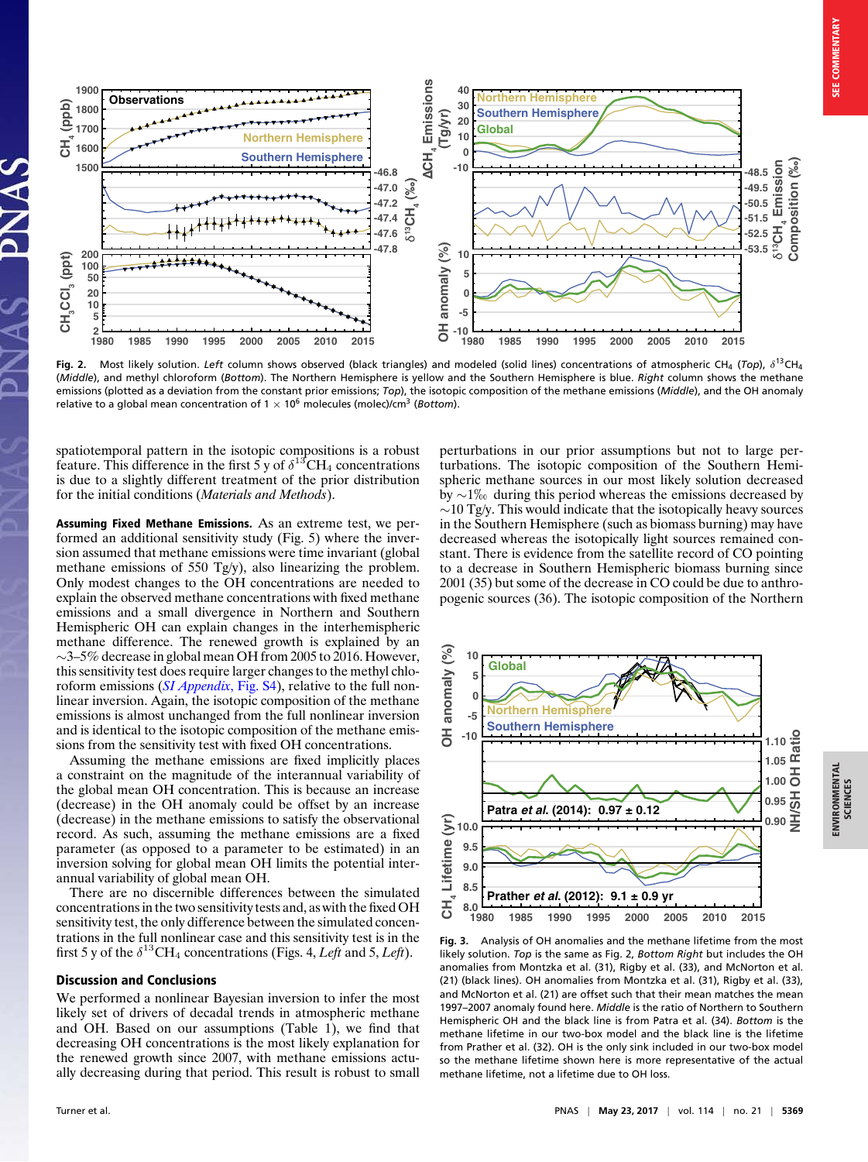

**Fig. 2.** Most likely solution. *Left* column shows observed (black triangles) and modeled (solid lines) concentrations of atmospheric CH<sub>4</sub> (*Top*), δ<sup>13</sup>CH<sub>4</sub> (*Middle*), and methyl chloroform (*Bottom*). The Northern Hemisphere is yellow and the Southern Hemisphere is blue. *Right* column shows the methane emissions (plotted as a deviation from the constant prior emissions; *Top*), the isotopic composition of the methane emissions (*Middle*), and the OH anomaly relative to a global mean concentration of 1  $\times$  10<sup>6</sup> molecules (molec)/cm $^3$  (*Bottom*).

spatiotemporal pattern in the isotopic compositions is a robust feature. This difference in the first  $5y$  of  $\delta^{13}CH_4$  concentrations is due to a slightly different treatment of the prior distribution for the initial conditions (*Materials and Methods*).

Assuming Fixed Methane Emissions. As an extreme test, we performed an additional sensitivity study (Fig. 5) where the inversion assumed that methane emissions were time invariant (global methane emissions of 550 Tg/y), also linearizing the problem. Only modest changes to the OH concentrations are needed to explain the observed methane concentrations with fixed methane emissions and a small divergence in Northern and Southern Hemispheric OH can explain changes in the interhemispheric methane difference. The renewed growth is explained by an ∼3–5% decrease in global mean OH from 2005 to 2016. However, this sensitivity test does require larger changes to the methyl chloroform emissions (*[SI Appendix](http://www.pnas.org/lookup/suppl/doi:10.1073/pnas.1616020114/-/DCSupplemental/pnas.1616020114.sapp.pdf)*, Fig. S4), relative to the full nonlinear inversion. Again, the isotopic composition of the methane emissions is almost unchanged from the full nonlinear inversion and is identical to the isotopic composition of the methane emissions from the sensitivity test with fixed OH concentrations.

Assuming the methane emissions are fixed implicitly places a constraint on the magnitude of the interannual variability of the global mean OH concentration. This is because an increase (decrease) in the OH anomaly could be offset by an increase (decrease) in the methane emissions to satisfy the observational record. As such, assuming the methane emissions are a fixed parameter (as opposed to a parameter to be estimated) in an inversion solving for global mean OH limits the potential interannual variability of global mean OH.

There are no discernible differences between the simulated concentrations in the two sensitivity tests and, as with the fixed OH sensitivity test, the only difference between the simulated concentrations in the full nonlinear case and this sensitivity test is in the first 5 y of the  $\delta^{13}CH_4$  concentrations (Figs. 4, *Left* and 5, *Left*).

#### Discussion and Conclusions

We performed a nonlinear Bayesian inversion to infer the most likely set of drivers of decadal trends in atmospheric methane and OH. Based on our assumptions (Table 1), we find that decreasing OH concentrations is the most likely explanation for the renewed growth since 2007, with methane emissions actually decreasing during that period. This result is robust to small

perturbations in our prior assumptions but not to large perturbations. The isotopic composition of the Southern Hemispheric methane sources in our most likely solution decreased by  $\sim$ 1‰ during this period whereas the emissions decreased by  $\sim$ 10 Tg/y. This would indicate that the isotopically heavy sources in the Southern Hemisphere (such as biomass burning) may have decreased whereas the isotopically light sources remained constant. There is evidence from the satellite record of CO pointing to a decrease in Southern Hemispheric biomass burning since 2001 (35) but some of the decrease in CO could be due to anthropogenic sources (36). The isotopic composition of the Northern



**Fig. 3.** Analysis of OH anomalies and the methane lifetime from the most likely solution. *Top* is the same as Fig. 2, *Bottom Right* but includes the OH anomalies from Montzka et al. (31), Rigby et al. (33), and McNorton et al. (21) (black lines). OH anomalies from Montzka et al. (31), Rigby et al. (33), and McNorton et al. (21) are offset such that their mean matches the mean 1997–2007 anomaly found here. *Middle* is the ratio of Northern to Southern Hemispheric OH and the black line is from Patra et al. (34). *Bottom* is the methane lifetime in our two-box model and the black line is the lifetime from Prather et al. (32). OH is the only sink included in our two-box model so the methane lifetime shown here is more representative of the actual methane lifetime, not a lifetime due to OH loss.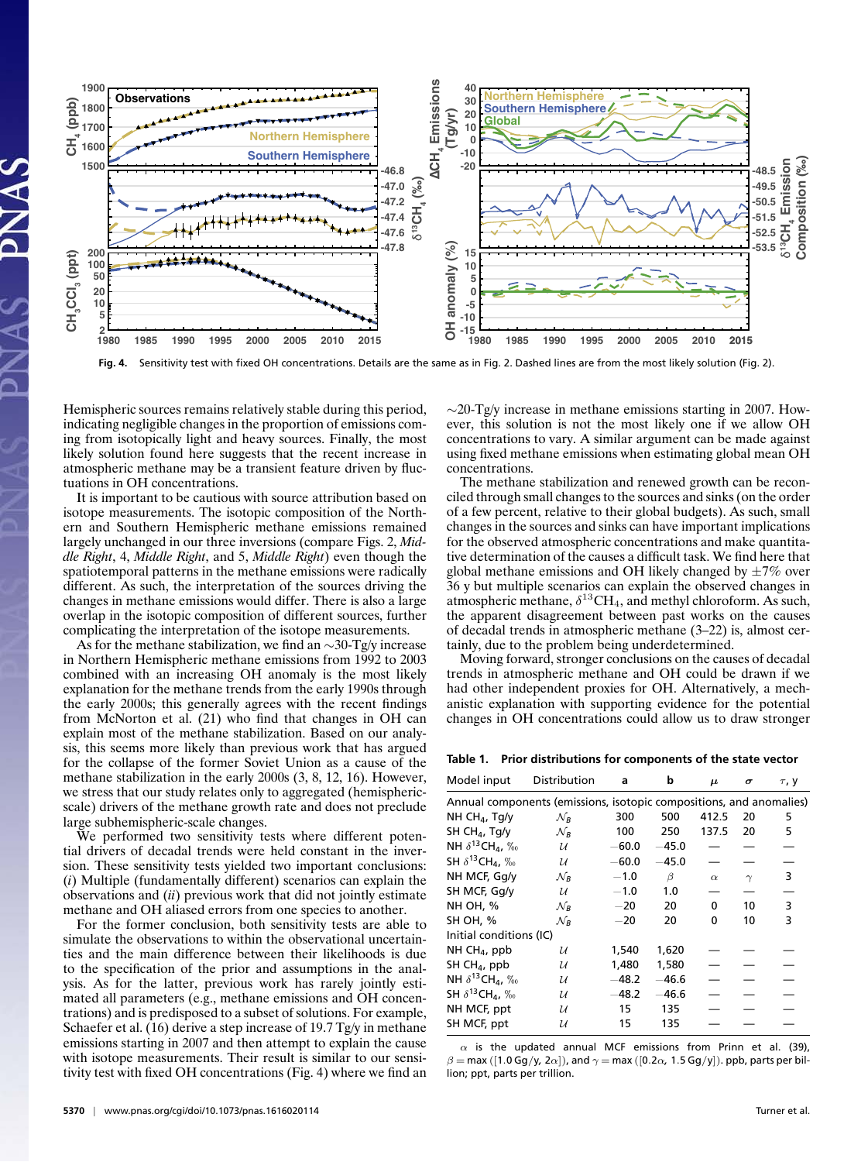

**Fig. 4.** Sensitivity test with fixed OH concentrations. Details are the same as in Fig. 2. Dashed lines are from the most likely solution (Fig. 2).

Hemispheric sources remains relatively stable during this period, indicating negligible changes in the proportion of emissions coming from isotopically light and heavy sources. Finally, the most likely solution found here suggests that the recent increase in atmospheric methane may be a transient feature driven by fluctuations in OH concentrations.

It is important to be cautious with source attribution based on isotope measurements. The isotopic composition of the Northern and Southern Hemispheric methane emissions remained largely unchanged in our three inversions (compare Figs. 2, *Middle Right*, 4, *Middle Right*, and 5, *Middle Right*) even though the spatiotemporal patterns in the methane emissions were radically different. As such, the interpretation of the sources driving the changes in methane emissions would differ. There is also a large overlap in the isotopic composition of different sources, further complicating the interpretation of the isotope measurements.

As for the methane stabilization, we find an  $\sim$ 30-Tg/y increase in Northern Hemispheric methane emissions from 1992 to 2003 combined with an increasing OH anomaly is the most likely explanation for the methane trends from the early 1990s through the early 2000s; this generally agrees with the recent findings from McNorton et al. (21) who find that changes in OH can explain most of the methane stabilization. Based on our analysis, this seems more likely than previous work that has argued for the collapse of the former Soviet Union as a cause of the methane stabilization in the early 2000s (3, 8, 12, 16). However, we stress that our study relates only to aggregated (hemisphericscale) drivers of the methane growth rate and does not preclude large subhemispheric-scale changes.

We performed two sensitivity tests where different potential drivers of decadal trends were held constant in the inversion. These sensitivity tests yielded two important conclusions: (*i*) Multiple (fundamentally different) scenarios can explain the observations and (*ii*) previous work that did not jointly estimate methane and OH aliased errors from one species to another.

For the former conclusion, both sensitivity tests are able to simulate the observations to within the observational uncertainties and the main difference between their likelihoods is due to the specification of the prior and assumptions in the analysis. As for the latter, previous work has rarely jointly estimated all parameters (e.g., methane emissions and OH concentrations) and is predisposed to a subset of solutions. For example, Schaefer et al. (16) derive a step increase of 19.7 Tg/y in methane emissions starting in 2007 and then attempt to explain the cause with isotope measurements. Their result is similar to our sensitivity test with fixed OH concentrations (Fig. 4) where we find an ∼20-Tg/y increase in methane emissions starting in 2007. However, this solution is not the most likely one if we allow OH concentrations to vary. A similar argument can be made against using fixed methane emissions when estimating global mean OH concentrations.

The methane stabilization and renewed growth can be reconciled through small changes to the sources and sinks (on the order of a few percent, relative to their global budgets). As such, small changes in the sources and sinks can have important implications for the observed atmospheric concentrations and make quantitative determination of the causes a difficult task. We find here that global methane emissions and OH likely changed by  $\pm 7\%$  over 36 y but multiple scenarios can explain the observed changes in atmospheric methane,  $\delta^{13}CH_4$ , and methyl chloroform. As such, the apparent disagreement between past works on the causes of decadal trends in atmospheric methane (3–22) is, almost certainly, due to the problem being underdetermined.

Moving forward, stronger conclusions on the causes of decadal trends in atmospheric methane and OH could be drawn if we had other independent proxies for OH. Alternatively, a mechanistic explanation with supporting evidence for the potential changes in OH concentrations could allow us to draw stronger

**Table 1. Prior distributions for components of the state vector**

| Model input                                                         | Distribution      | a       | b       | $\mu$    | $\sigma$ | $\tau$ , y |
|---------------------------------------------------------------------|-------------------|---------|---------|----------|----------|------------|
| Annual components (emissions, isotopic compositions, and anomalies) |                   |         |         |          |          |            |
| NH CH <sub>4</sub> , Tg/y                                           | $\mathcal{N}_R$   | 300     | 500     | 412.5    | 20       | 5          |
| SH CH <sub>4</sub> , Tg/y                                           | $\mathcal{N}_R$   | 100     | 250     | 137.5    | 20       | 5          |
| NH $\delta^{13}$ CH <sub>4</sub> , $\%$ <sub>0</sub>                | $\mathcal{U}$     | $-60.0$ | $-45.0$ |          |          |            |
| SH $\delta^{13}$ CH <sub>4</sub> , $\%$ <sub>0</sub>                | $\mathcal{U}$     | $-60.0$ | $-45.0$ |          |          |            |
| NH MCF, Gg/y                                                        | $\mathcal{N}_R$   | $-1.0$  | $\beta$ | $\alpha$ | $\gamma$ | 3          |
| SH MCF, Gq/y                                                        | $\mathcal{U}$     | $-1.0$  | 1.0     |          |          |            |
| NH OH, %                                                            | $\mathcal{N}_R$   | $-20$   | 20      | 0        | 10       | 3          |
| SH OH, %                                                            | $\mathcal{N}_{R}$ | $-20$   | 20      | 0        | 10       | 3          |
| Initial conditions (IC)                                             |                   |         |         |          |          |            |
| NH $CH4$ , ppb                                                      | и                 | 1,540   | 1,620   |          |          |            |
| SH $CH4$ , ppb                                                      | $\cal U$          | 1,480   | 1.580   |          |          |            |
| NH $\delta^{13}$ CH <sub>4</sub> , $\%$                             | $\cal U$          | -48.2   | $-46.6$ |          |          |            |
| SH $\delta^{13}$ CH <sub>4</sub> , $\%$ <sub>0</sub>                | и                 | -48.2   | $-46.6$ |          |          |            |
| NH MCF, ppt                                                         | и                 | 15      | 135     |          |          |            |
| SH MCF, ppt                                                         | и                 | 15      | 135     |          |          |            |

 $\alpha$  is the updated annual MCF emissions from Prinn et al. (39),  $\beta$  = max ([1.0 Gg/y, 2 $\alpha$ ]), and  $\gamma$  = max ([0.2 $\alpha$ , 1.5 Gg/y]). ppb, parts per billion; ppt, parts per trillion.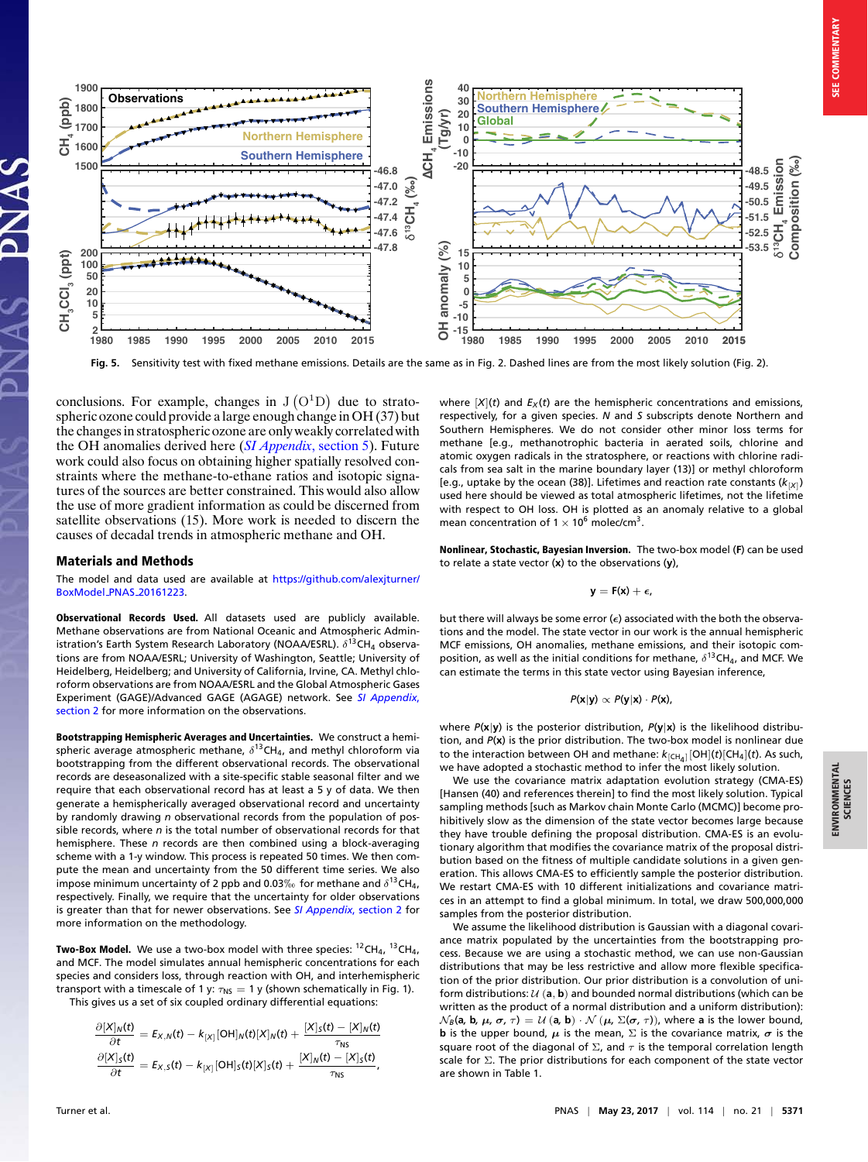

**Fig. 5.** Sensitivity test with fixed methane emissions. Details are the same as in Fig. 2. Dashed lines are from the most likely solution (Fig. 2).

conclusions. For example, changes in  $J(O<sup>1</sup>D)$  due to stratospheric ozone could provide a large enough change in OH (37) but the changes in stratospheric ozone are only weakly correlated with the OH anomalies derived here (*[SI Appendix](http://www.pnas.org/lookup/suppl/doi:10.1073/pnas.1616020114/-/DCSupplemental/pnas.1616020114.sapp.pdf)*, section 5). Future work could also focus on obtaining higher spatially resolved constraints where the methane-to-ethane ratios and isotopic signatures of the sources are better constrained. This would also allow the use of more gradient information as could be discerned from satellite observations (15). More work is needed to discern the causes of decadal trends in atmospheric methane and OH.

#### Materials and Methods

The model and data used are available at [https://github.com/alexjturner/](https://github.com/alexjturner/BoxModel_PNAS_20161223) [BoxModel](https://github.com/alexjturner/BoxModel_PNAS_20161223) PNAS 20161223.

Observational Records Used. All datasets used are publicly available. Methane observations are from National Oceanic and Atmospheric Administration's Earth System Research Laboratory (NOAA/ESRL).  $\delta^{13}$ CH<sub>4</sub> observations are from NOAA/ESRL; University of Washington, Seattle; University of Heidelberg, Heidelberg; and University of California, Irvine, CA. Methyl chloroform observations are from NOAA/ESRL and the Global Atmospheric Gases Experiment (GAGE)/Advanced GAGE (AGAGE) network. See *[SI Appendix](http://www.pnas.org/lookup/suppl/doi:10.1073/pnas.1616020114/-/DCSupplemental/pnas.1616020114.sapp.pdf)*, [section 2](http://www.pnas.org/lookup/suppl/doi:10.1073/pnas.1616020114/-/DCSupplemental/pnas.1616020114.sapp.pdf) for more information on the observations.

Bootstrapping Hemispheric Averages and Uncertainties. We construct a hemispheric average atmospheric methane,  $\delta^{13}$ CH<sub>4</sub>, and methyl chloroform via bootstrapping from the different observational records. The observational records are deseasonalized with a site-specific stable seasonal filter and we require that each observational record has at least a 5 y of data. We then generate a hemispherically averaged observational record and uncertainty by randomly drawing *n* observational records from the population of possible records, where *n* is the total number of observational records for that hemisphere. These *n* records are then combined using a block-averaging scheme with a 1-y window. This process is repeated 50 times. We then compute the mean and uncertainty from the 50 different time series. We also impose minimum uncertainty of 2 ppb and 0.03‰ for methane and  $\delta^{13}$ CH<sub>4</sub>, respectively. Finally, we require that the uncertainty for older observations is greater than that for newer observations. See *[SI Appendix](http://www.pnas.org/lookup/suppl/doi:10.1073/pnas.1616020114/-/DCSupplemental/pnas.1616020114.sapp.pdf)*, section 2 for more information on the methodology.

**Two-Box Model.** We use a two-box model with three species:  $^{12}$ CH<sub>4</sub>,  $^{13}$ CH<sub>4</sub>, and MCF. The model simulates annual hemispheric concentrations for each species and considers loss, through reaction with OH, and interhemispheric transport with a timescale of 1 y:  $\tau_{\text{NS}} = 1$  y (shown schematically in Fig. 1). This gives us a set of six coupled ordinary differential equations:

$$
\frac{\partial [X]_N(t)}{\partial t} = E_{X,N}(t) - k_{[X]}[\text{OH}]_N(t)[X]_N(t) + \frac{[X]_S(t) - [X]_N(t)}{\tau_{NS}} \n\frac{\partial [X]_S(t)}{\partial t} = E_{X,S}(t) - k_{[X]}[\text{OH}]_S(t)[X]_S(t) + \frac{[X]_N(t) - [X]_S(t)}{\tau_{NS}},
$$

where  $[X](t)$  and  $E_X(t)$  are the hemispheric concentrations and emissions, respectively, for a given species. *N* and *S* subscripts denote Northern and Southern Hemispheres. We do not consider other minor loss terms for methane [e.g., methanotrophic bacteria in aerated soils, chlorine and atomic oxygen radicals in the stratosphere, or reactions with chlorine radicals from sea salt in the marine boundary layer (13)] or methyl chloroform [e.g., uptake by the ocean (38)]. Lifetimes and reaction rate constants (*k*[*X*] ) used here should be viewed as total atmospheric lifetimes, not the lifetime with respect to OH loss. OH is plotted as an anomaly relative to a global mean concentration of 1  $\times$  10<sup>6</sup> molec/cm<sup>3</sup>.

Nonlinear, Stochastic, Bayesian Inversion. The two-box model (**F**) can be used to relate a state vector (**x**) to the observations (**y**),

$$
\mathbf{y} = \mathbf{F}(\mathbf{x}) + \boldsymbol{\epsilon},
$$

but there will always be some error ( $\epsilon$ ) associated with the both the observations and the model. The state vector in our work is the annual hemispheric MCF emissions, OH anomalies, methane emissions, and their isotopic composition, as well as the initial conditions for methane,  $\delta^{13}$ CH<sub>4</sub>, and MCF. We can estimate the terms in this state vector using Bayesian inference,

$$
P(\mathbf{x}|\mathbf{y}) \propto P(\mathbf{y}|\mathbf{x}) \cdot P(\mathbf{x}),
$$

where *P*(**x**|**y**) is the posterior distribution, *P*(**y**|**x**) is the likelihood distribution, and *P*(**x**) is the prior distribution. The two-box model is nonlinear due to the interaction between OH and methane: *k*[CH4 ] [OH](*t*)[CH4](*t*). As such, we have adopted a stochastic method to infer the most likely solution.

We use the covariance matrix adaptation evolution strategy (CMA-ES) [Hansen (40) and references therein] to find the most likely solution. Typical sampling methods [such as Markov chain Monte Carlo (MCMC)] become prohibitively slow as the dimension of the state vector becomes large because they have trouble defining the proposal distribution. CMA-ES is an evolutionary algorithm that modifies the covariance matrix of the proposal distribution based on the fitness of multiple candidate solutions in a given generation. This allows CMA-ES to efficiently sample the posterior distribution. We restart CMA-ES with 10 different initializations and covariance matrices in an attempt to find a global minimum. In total, we draw 500,000,000 samples from the posterior distribution.

We assume the likelihood distribution is Gaussian with a diagonal covariance matrix populated by the uncertainties from the bootstrapping process. Because we are using a stochastic method, we can use non-Gaussian distributions that may be less restrictive and allow more flexible specification of the prior distribution. Our prior distribution is a convolution of uniform distributions:  $U$  ( $a$ ,  $b$ ) and bounded normal distributions (which can be written as the product of a normal distribution and a uniform distribution):  $\mathcal{N}_B$ (a, b,  $\mu$ ,  $\sigma$ ,  $\tau$ ) = U (a, b)  $\cdot$  N ( $\mu$ ,  $\Sigma(\sigma, \tau)$ ), where a is the lower bound, **b** is the upper bound,  $\mu$  is the mean,  $\Sigma$  is the covariance matrix,  $\sigma$  is the square root of the diagonal of  $\Sigma$ , and  $\tau$  is the temporal correlation length scale for Σ. The prior distributions for each component of the state vector are shown in Table 1.